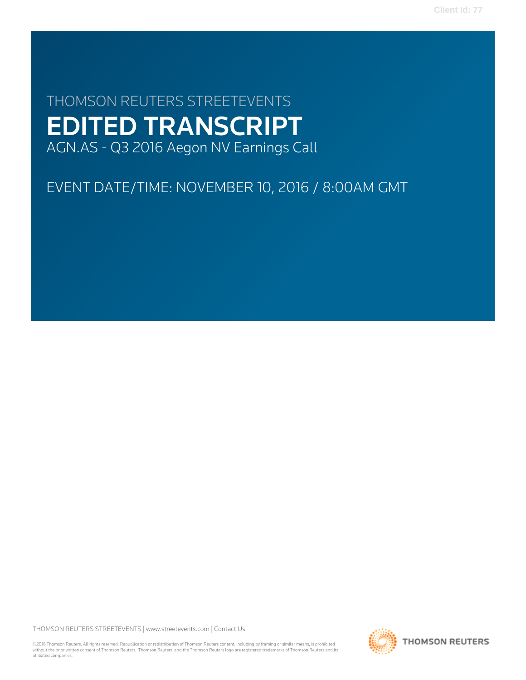# THOMSON REUTERS STREETEVENTS EDITED TRANSCRIPT AGN.AS - Q3 2016 Aegon NV Earnings Call

# EVENT DATE/TIME: NOVEMBER 10, 2016 / 8:00AM GMT

THOMSON REUTERS STREETEVENTS | [www.streetevents.com](http://www.streetevents.com) | [Contact Us](http://www010.streetevents.com/contact.asp)

©2016 Thomson Reuters. All rights reserved. Republication or redistribution of Thomson Reuters content, including by framing or similar means, is prohibited without the prior written consent of Thomson Reuters. 'Thomson Reuters' and the Thomson Reuters logo are registered trademarks of Thomson Reuters and its affiliated companies.

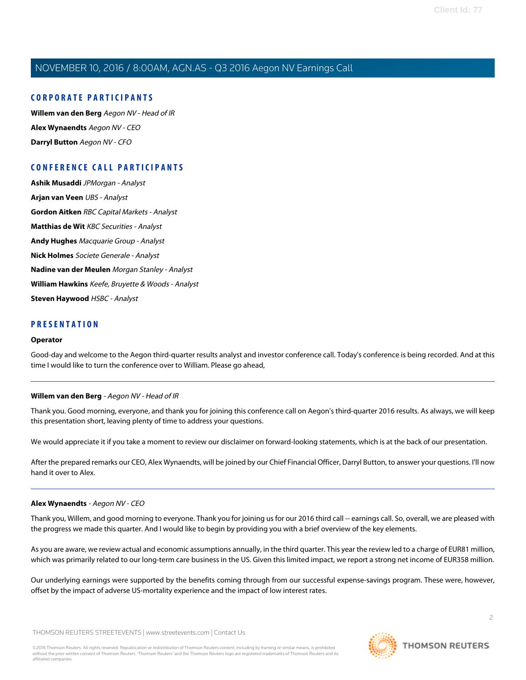### **CORPORATE PARTICIPANTS**

**[Willem van den Berg](#page-1-0)** Aegon NV - Head of IR **[Alex Wynaendts](#page-1-1)** Aegon NV - CEO **[Darryl Button](#page-5-0)** Aegon NV - CFO

### **CONFERENCE CALL PARTICIPANTS**

**[Ashik Musaddi](#page-4-0)** JPMorgan - Analyst **[Arjan van Veen](#page-5-1)** UBS - Analyst **[Gordon Aitken](#page-7-0)** RBC Capital Markets - Analyst **[Matthias de Wit](#page-9-0)** KBC Securities - Analyst **[Andy Hughes](#page-10-0)** Macquarie Group - Analyst **[Nick Holmes](#page-11-0)** Societe Generale - Analyst **[Nadine van der Meulen](#page-12-0)** Morgan Stanley - Analyst **[William Hawkins](#page-13-0)** Keefe, Bruyette & Woods - Analyst **[Steven Haywood](#page-14-0)** HSBC - Analyst

### **PRESENTATION**

#### **Operator**

<span id="page-1-0"></span>Good-day and welcome to the Aegon third-quarter results analyst and investor conference call. Today's conference is being recorded. And at this time I would like to turn the conference over to William. Please go ahead,

### **Willem van den Berg** - Aegon NV - Head of IR

Thank you. Good morning, everyone, and thank you for joining this conference call on Aegon's third-quarter 2016 results. As always, we will keep this presentation short, leaving plenty of time to address your questions.

We would appreciate it if you take a moment to review our disclaimer on forward-looking statements, which is at the back of our presentation.

<span id="page-1-1"></span>After the prepared remarks our CEO, Alex Wynaendts, will be joined by our Chief Financial Officer, Darryl Button, to answer your questions. I'll now hand it over to Alex.

### **Alex Wynaendts** - Aegon NV - CEO

Thank you, Willem, and good morning to everyone. Thank you for joining us for our 2016 third call -- earnings call. So, overall, we are pleased with the progress we made this quarter. And I would like to begin by providing you with a brief overview of the key elements.

As you are aware, we review actual and economic assumptions annually, in the third quarter. This year the review led to a charge of EUR81 million, which was primarily related to our long-term care business in the US. Given this limited impact, we report a strong net income of EUR358 million.

Our underlying earnings were supported by the benefits coming through from our successful expense-savings program. These were, however, offset by the impact of adverse US-mortality experience and the impact of low interest rates.

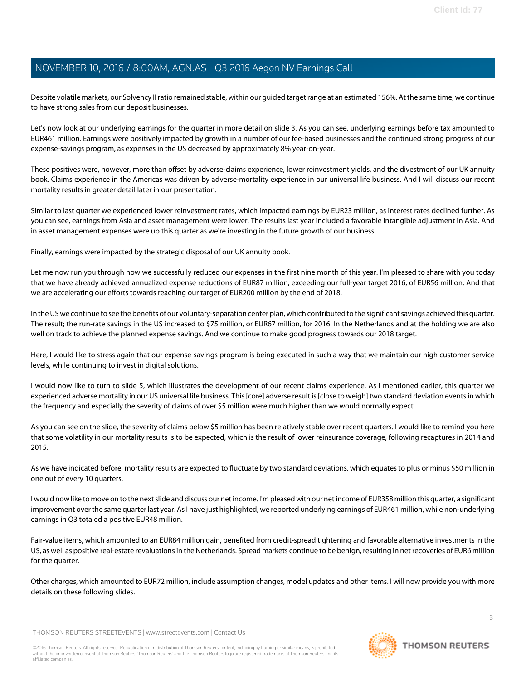Despite volatile markets, our Solvency II ratio remained stable, within our guided target range at an estimated 156%. At the same time, we continue to have strong sales from our deposit businesses.

Let's now look at our underlying earnings for the quarter in more detail on slide 3. As you can see, underlying earnings before tax amounted to EUR461 million. Earnings were positively impacted by growth in a number of our fee-based businesses and the continued strong progress of our expense-savings program, as expenses in the US decreased by approximately 8% year-on-year.

These positives were, however, more than offset by adverse-claims experience, lower reinvestment yields, and the divestment of our UK annuity book. Claims experience in the Americas was driven by adverse-mortality experience in our universal life business. And I will discuss our recent mortality results in greater detail later in our presentation.

Similar to last quarter we experienced lower reinvestment rates, which impacted earnings by EUR23 million, as interest rates declined further. As you can see, earnings from Asia and asset management were lower. The results last year included a favorable intangible adjustment in Asia. And in asset management expenses were up this quarter as we're investing in the future growth of our business.

Finally, earnings were impacted by the strategic disposal of our UK annuity book.

Let me now run you through how we successfully reduced our expenses in the first nine month of this year. I'm pleased to share with you today that we have already achieved annualized expense reductions of EUR87 million, exceeding our full-year target 2016, of EUR56 million. And that we are accelerating our efforts towards reaching our target of EUR200 million by the end of 2018.

In the US we continue to see the benefits of our voluntary-separation center plan, which contributed to the significant savings achieved this quarter. The result; the run-rate savings in the US increased to \$75 million, or EUR67 million, for 2016. In the Netherlands and at the holding we are also well on track to achieve the planned expense savings. And we continue to make good progress towards our 2018 target.

Here, I would like to stress again that our expense-savings program is being executed in such a way that we maintain our high customer-service levels, while continuing to invest in digital solutions.

I would now like to turn to slide 5, which illustrates the development of our recent claims experience. As I mentioned earlier, this quarter we experienced adverse mortality in our US universal life business. This [core] adverse result is [close to weigh] two standard deviation events in which the frequency and especially the severity of claims of over \$5 million were much higher than we would normally expect.

As you can see on the slide, the severity of claims below \$5 million has been relatively stable over recent quarters. I would like to remind you here that some volatility in our mortality results is to be expected, which is the result of lower reinsurance coverage, following recaptures in 2014 and 2015.

As we have indicated before, mortality results are expected to fluctuate by two standard deviations, which equates to plus or minus \$50 million in one out of every 10 quarters.

I would now like to move on to the next slide and discuss our net income. I'm pleased with our net income of EUR358 million this quarter, a significant improvement over the same quarter last year. As I have just highlighted, we reported underlying earnings of EUR461 million, while non-underlying earnings in Q3 totaled a positive EUR48 million.

Fair-value items, which amounted to an EUR84 million gain, benefited from credit-spread tightening and favorable alternative investments in the US, as well as positive real-estate revaluations in the Netherlands. Spread markets continue to be benign, resulting in net recoveries of EUR6 million for the quarter.

Other charges, which amounted to EUR72 million, include assumption changes, model updates and other items. I will now provide you with more details on these following slides.

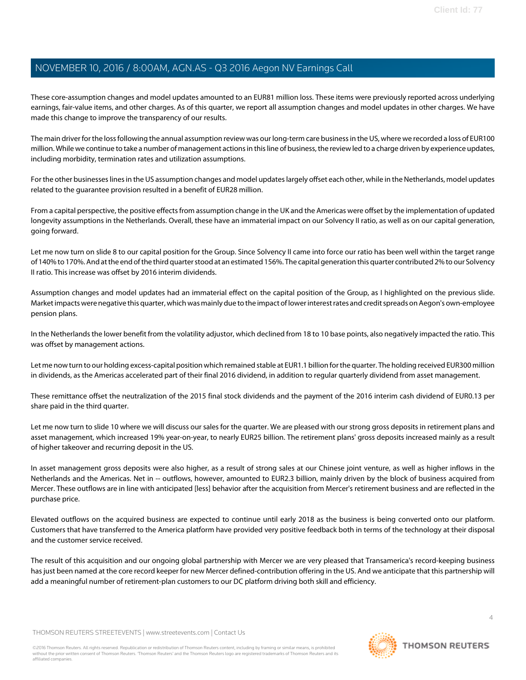These core-assumption changes and model updates amounted to an EUR81 million loss. These items were previously reported across underlying earnings, fair-value items, and other charges. As of this quarter, we report all assumption changes and model updates in other charges. We have made this change to improve the transparency of our results.

The main driver for the loss following the annual assumption review was our long-term care business in the US, where we recorded a loss of EUR100 million. While we continue to take a number of management actions in this line of business, the review led to a charge driven by experience updates, including morbidity, termination rates and utilization assumptions.

For the other businesses lines in the US assumption changes and model updates largely offset each other, while in the Netherlands, model updates related to the guarantee provision resulted in a benefit of EUR28 million.

From a capital perspective, the positive effects from assumption change in the UK and the Americas were offset by the implementation of updated longevity assumptions in the Netherlands. Overall, these have an immaterial impact on our Solvency II ratio, as well as on our capital generation, going forward.

Let me now turn on slide 8 to our capital position for the Group. Since Solvency II came into force our ratio has been well within the target range of 140% to 170%. And at the end of the third quarter stood at an estimated 156%. The capital generation this quarter contributed 2% to our Solvency II ratio. This increase was offset by 2016 interim dividends.

Assumption changes and model updates had an immaterial effect on the capital position of the Group, as I highlighted on the previous slide. Market impacts were negative this quarter, which was mainly due to the impact of lower interest rates and credit spreads on Aegon's own-employee pension plans.

In the Netherlands the lower benefit from the volatility adjustor, which declined from 18 to 10 base points, also negatively impacted the ratio. This was offset by management actions.

Let me now turn to our holding excess-capital position which remained stable at EUR1.1 billion for the quarter. The holding received EUR300 million in dividends, as the Americas accelerated part of their final 2016 dividend, in addition to regular quarterly dividend from asset management.

These remittance offset the neutralization of the 2015 final stock dividends and the payment of the 2016 interim cash dividend of EUR0.13 per share paid in the third quarter.

Let me now turn to slide 10 where we will discuss our sales for the quarter. We are pleased with our strong gross deposits in retirement plans and asset management, which increased 19% year-on-year, to nearly EUR25 billion. The retirement plans' gross deposits increased mainly as a result of higher takeover and recurring deposit in the US.

In asset management gross deposits were also higher, as a result of strong sales at our Chinese joint venture, as well as higher inflows in the Netherlands and the Americas. Net in -- outflows, however, amounted to EUR2.3 billion, mainly driven by the block of business acquired from Mercer. These outflows are in line with anticipated [less] behavior after the acquisition from Mercer's retirement business and are reflected in the purchase price.

Elevated outflows on the acquired business are expected to continue until early 2018 as the business is being converted onto our platform. Customers that have transferred to the America platform have provided very positive feedback both in terms of the technology at their disposal and the customer service received.

The result of this acquisition and our ongoing global partnership with Mercer we are very pleased that Transamerica's record-keeping business has just been named at the core record keeper for new Mercer defined-contribution offering in the US. And we anticipate that this partnership will add a meaningful number of retirement-plan customers to our DC platform driving both skill and efficiency.

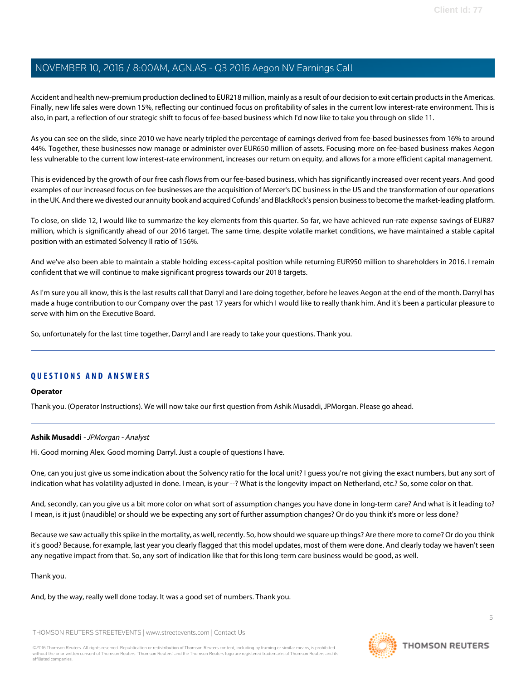Accident and health new-premium production declined to EUR218 million, mainly as a result of our decision to exit certain products in the Americas. Finally, new life sales were down 15%, reflecting our continued focus on profitability of sales in the current low interest-rate environment. This is also, in part, a reflection of our strategic shift to focus of fee-based business which I'd now like to take you through on slide 11.

As you can see on the slide, since 2010 we have nearly tripled the percentage of earnings derived from fee-based businesses from 16% to around 44%. Together, these businesses now manage or administer over EUR650 million of assets. Focusing more on fee-based business makes Aegon less vulnerable to the current low interest-rate environment, increases our return on equity, and allows for a more efficient capital management.

This is evidenced by the growth of our free cash flows from our fee-based business, which has significantly increased over recent years. And good examples of our increased focus on fee businesses are the acquisition of Mercer's DC business in the US and the transformation of our operations in the UK. And there we divested our annuity book and acquired Cofunds' and BlackRock's pension business to become the market-leading platform.

To close, on slide 12, I would like to summarize the key elements from this quarter. So far, we have achieved run-rate expense savings of EUR87 million, which is significantly ahead of our 2016 target. The same time, despite volatile market conditions, we have maintained a stable capital position with an estimated Solvency II ratio of 156%.

And we've also been able to maintain a stable holding excess-capital position while returning EUR950 million to shareholders in 2016. I remain confident that we will continue to make significant progress towards our 2018 targets.

As I'm sure you all know, this is the last results call that Darryl and I are doing together, before he leaves Aegon at the end of the month. Darryl has made a huge contribution to our Company over the past 17 years for which I would like to really thank him. And it's been a particular pleasure to serve with him on the Executive Board.

So, unfortunately for the last time together, Darryl and I are ready to take your questions. Thank you.

### **QUESTIONS AND ANSWERS**

### <span id="page-4-0"></span>**Operator**

Thank you. (Operator Instructions). We will now take our first question from Ashik Musaddi, JPMorgan. Please go ahead.

### **Ashik Musaddi** - JPMorgan - Analyst

Hi. Good morning Alex. Good morning Darryl. Just a couple of questions I have.

One, can you just give us some indication about the Solvency ratio for the local unit? I guess you're not giving the exact numbers, but any sort of indication what has volatility adjusted in done. I mean, is your --? What is the longevity impact on Netherland, etc.? So, some color on that.

And, secondly, can you give us a bit more color on what sort of assumption changes you have done in long-term care? And what is it leading to? I mean, is it just (inaudible) or should we be expecting any sort of further assumption changes? Or do you think it's more or less done?

Because we saw actually this spike in the mortality, as well, recently. So, how should we square up things? Are there more to come? Or do you think it's good? Because, for example, last year you clearly flagged that this model updates, most of them were done. And clearly today we haven't seen any negative impact from that. So, any sort of indication like that for this long-term care business would be good, as well.

### Thank you.

And, by the way, really well done today. It was a good set of numbers. Thank you.

THOMSON REUTERS STREETEVENTS | [www.streetevents.com](http://www.streetevents.com) | [Contact Us](http://www010.streetevents.com/contact.asp)

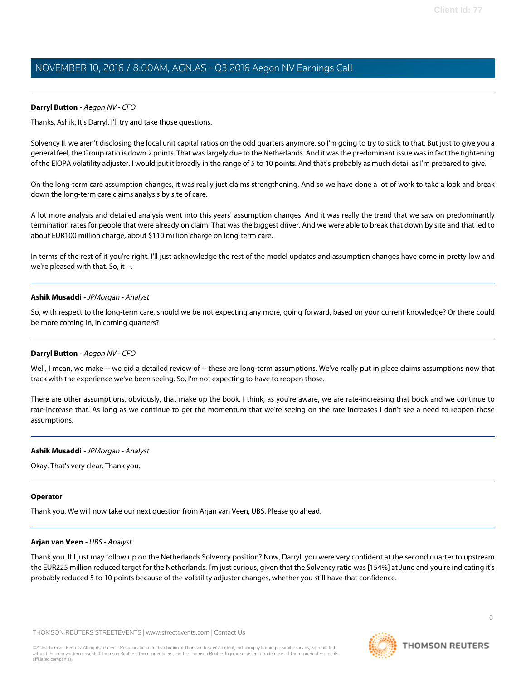### <span id="page-5-0"></span>**Darryl Button** - Aegon NV - CFO

Thanks, Ashik. It's Darryl. I'll try and take those questions.

Solvency II, we aren't disclosing the local unit capital ratios on the odd quarters anymore, so I'm going to try to stick to that. But just to give you a general feel, the Group ratio is down 2 points. That was largely due to the Netherlands. And it was the predominant issue was in fact the tightening of the EIOPA volatility adjuster. I would put it broadly in the range of 5 to 10 points. And that's probably as much detail as I'm prepared to give.

On the long-term care assumption changes, it was really just claims strengthening. And so we have done a lot of work to take a look and break down the long-term care claims analysis by site of care.

A lot more analysis and detailed analysis went into this years' assumption changes. And it was really the trend that we saw on predominantly termination rates for people that were already on claim. That was the biggest driver. And we were able to break that down by site and that led to about EUR100 million charge, about \$110 million charge on long-term care.

In terms of the rest of it you're right. I'll just acknowledge the rest of the model updates and assumption changes have come in pretty low and we're pleased with that. So, it --.

### **Ashik Musaddi** - JPMorgan - Analyst

So, with respect to the long-term care, should we be not expecting any more, going forward, based on your current knowledge? Or there could be more coming in, in coming quarters?

### **Darryl Button** - Aegon NV - CFO

Well, I mean, we make -- we did a detailed review of -- these are long-term assumptions. We've really put in place claims assumptions now that track with the experience we've been seeing. So, I'm not expecting to have to reopen those.

There are other assumptions, obviously, that make up the book. I think, as you're aware, we are rate-increasing that book and we continue to rate-increase that. As long as we continue to get the momentum that we're seeing on the rate increases I don't see a need to reopen those assumptions.

### **Ashik Musaddi** - JPMorgan - Analyst

Okay. That's very clear. Thank you.

#### <span id="page-5-1"></span>**Operator**

Thank you. We will now take our next question from Arjan van Veen, UBS. Please go ahead.

#### **Arjan van Veen** - UBS - Analyst

Thank you. If I just may follow up on the Netherlands Solvency position? Now, Darryl, you were very confident at the second quarter to upstream the EUR225 million reduced target for the Netherlands. I'm just curious, given that the Solvency ratio was [154%] at June and you're indicating it's probably reduced 5 to 10 points because of the volatility adjuster changes, whether you still have that confidence.

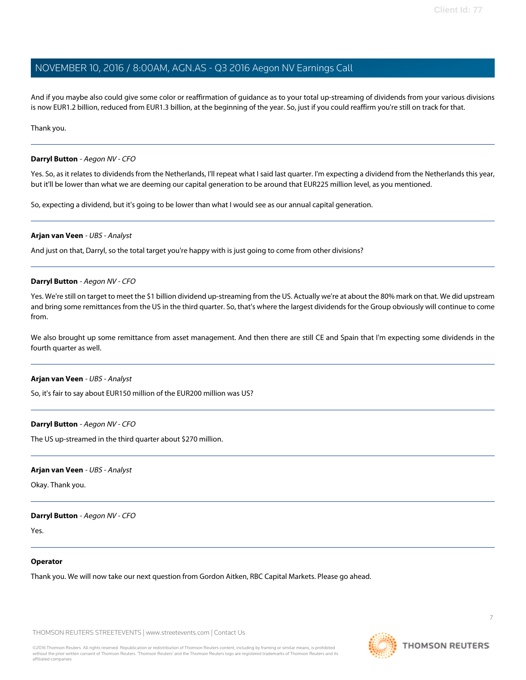And if you maybe also could give some color or reaffirmation of guidance as to your total up-streaming of dividends from your various divisions is now EUR1.2 billion, reduced from EUR1.3 billion, at the beginning of the year. So, just if you could reaffirm you're still on track for that.

Thank you.

### **Darryl Button** - Aegon NV - CFO

Yes. So, as it relates to dividends from the Netherlands, I'll repeat what I said last quarter. I'm expecting a dividend from the Netherlands this year, but it'll be lower than what we are deeming our capital generation to be around that EUR225 million level, as you mentioned.

So, expecting a dividend, but it's going to be lower than what I would see as our annual capital generation.

### **Arjan van Veen** - UBS - Analyst

And just on that, Darryl, so the total target you're happy with is just going to come from other divisions?

### **Darryl Button** - Aegon NV - CFO

Yes. We're still on target to meet the \$1 billion dividend up-streaming from the US. Actually we're at about the 80% mark on that. We did upstream and bring some remittances from the US in the third quarter. So, that's where the largest dividends for the Group obviously will continue to come from.

We also brought up some remittance from asset management. And then there are still CE and Spain that I'm expecting some dividends in the fourth quarter as well.

### **Arjan van Veen** - UBS - Analyst

So, it's fair to say about EUR150 million of the EUR200 million was US?

### **Darryl Button** - Aegon NV - CFO

The US up-streamed in the third quarter about \$270 million.

### **Arjan van Veen** - UBS - Analyst

Okay. Thank you.

### **Darryl Button** - Aegon NV - CFO

Yes.

#### **Operator**

Thank you. We will now take our next question from Gordon Aitken, RBC Capital Markets. Please go ahead.



7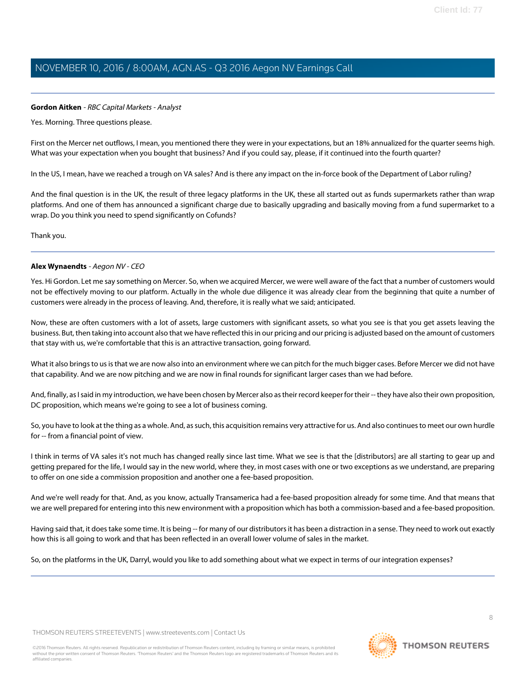### <span id="page-7-0"></span>**Gordon Aitken** - RBC Capital Markets - Analyst

Yes. Morning. Three questions please.

First on the Mercer net outflows, I mean, you mentioned there they were in your expectations, but an 18% annualized for the quarter seems high. What was your expectation when you bought that business? And if you could say, please, if it continued into the fourth quarter?

In the US, I mean, have we reached a trough on VA sales? And is there any impact on the in-force book of the Department of Labor ruling?

And the final question is in the UK, the result of three legacy platforms in the UK, these all started out as funds supermarkets rather than wrap platforms. And one of them has announced a significant charge due to basically upgrading and basically moving from a fund supermarket to a wrap. Do you think you need to spend significantly on Cofunds?

Thank you.

### **Alex Wynaendts** - Aegon NV - CEO

Yes. Hi Gordon. Let me say something on Mercer. So, when we acquired Mercer, we were well aware of the fact that a number of customers would not be effectively moving to our platform. Actually in the whole due diligence it was already clear from the beginning that quite a number of customers were already in the process of leaving. And, therefore, it is really what we said; anticipated.

Now, these are often customers with a lot of assets, large customers with significant assets, so what you see is that you get assets leaving the business. But, then taking into account also that we have reflected this in our pricing and our pricing is adjusted based on the amount of customers that stay with us, we're comfortable that this is an attractive transaction, going forward.

What it also brings to us is that we are now also into an environment where we can pitch for the much bigger cases. Before Mercer we did not have that capability. And we are now pitching and we are now in final rounds for significant larger cases than we had before.

And, finally, as I said in my introduction, we have been chosen by Mercer also as their record keeper for their -- they have also their own proposition, DC proposition, which means we're going to see a lot of business coming.

So, you have to look at the thing as a whole. And, as such, this acquisition remains very attractive for us. And also continues to meet our own hurdle for -- from a financial point of view.

I think in terms of VA sales it's not much has changed really since last time. What we see is that the [distributors] are all starting to gear up and getting prepared for the life, I would say in the new world, where they, in most cases with one or two exceptions as we understand, are preparing to offer on one side a commission proposition and another one a fee-based proposition.

And we're well ready for that. And, as you know, actually Transamerica had a fee-based proposition already for some time. And that means that we are well prepared for entering into this new environment with a proposition which has both a commission-based and a fee-based proposition.

Having said that, it does take some time. It is being -- for many of our distributors it has been a distraction in a sense. They need to work out exactly how this is all going to work and that has been reflected in an overall lower volume of sales in the market.

So, on the platforms in the UK, Darryl, would you like to add something about what we expect in terms of our integration expenses?

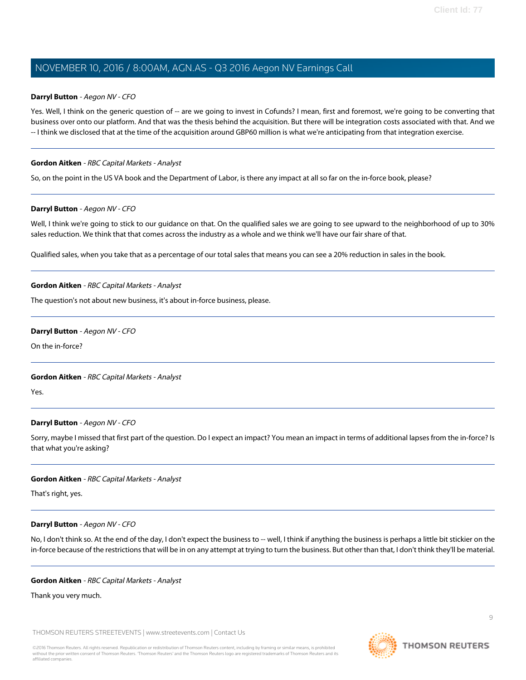### **Darryl Button** - Aegon NV - CFO

Yes. Well, I think on the generic question of -- are we going to invest in Cofunds? I mean, first and foremost, we're going to be converting that business over onto our platform. And that was the thesis behind the acquisition. But there will be integration costs associated with that. And we -- I think we disclosed that at the time of the acquisition around GBP60 million is what we're anticipating from that integration exercise.

### **Gordon Aitken** - RBC Capital Markets - Analyst

So, on the point in the US VA book and the Department of Labor, is there any impact at all so far on the in-force book, please?

### **Darryl Button** - Aegon NV - CFO

Well, I think we're going to stick to our guidance on that. On the qualified sales we are going to see upward to the neighborhood of up to 30% sales reduction. We think that that comes across the industry as a whole and we think we'll have our fair share of that.

Qualified sales, when you take that as a percentage of our total sales that means you can see a 20% reduction in sales in the book.

### **Gordon Aitken** - RBC Capital Markets - Analyst

The question's not about new business, it's about in-force business, please.

### **Darryl Button** - Aegon NV - CFO

On the in-force?

### **Gordon Aitken** - RBC Capital Markets - Analyst

Yes.

### **Darryl Button** - Aegon NV - CFO

Sorry, maybe I missed that first part of the question. Do I expect an impact? You mean an impact in terms of additional lapses from the in-force? Is that what you're asking?

### **Gordon Aitken** - RBC Capital Markets - Analyst

That's right, yes.

### **Darryl Button** - Aegon NV - CFO

No, I don't think so. At the end of the day, I don't expect the business to -- well, I think if anything the business is perhaps a little bit stickier on the in-force because of the restrictions that will be in on any attempt at trying to turn the business. But other than that, I don't think they'll be material.

### **Gordon Aitken** - RBC Capital Markets - Analyst

Thank you very much.

THOMSON REUTERS STREETEVENTS | [www.streetevents.com](http://www.streetevents.com) | [Contact Us](http://www010.streetevents.com/contact.asp)

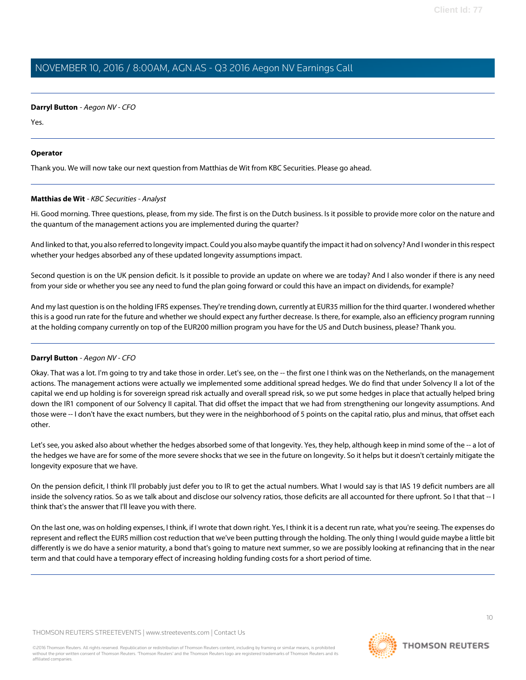### **Darryl Button** - Aegon NV - CFO

Yes.

### **Operator**

<span id="page-9-0"></span>Thank you. We will now take our next question from Matthias de Wit from KBC Securities. Please go ahead.

### **Matthias de Wit** - KBC Securities - Analyst

Hi. Good morning. Three questions, please, from my side. The first is on the Dutch business. Is it possible to provide more color on the nature and the quantum of the management actions you are implemented during the quarter?

And linked to that, you also referred to longevity impact. Could you also maybe quantify the impact it had on solvency? And I wonder in this respect whether your hedges absorbed any of these updated longevity assumptions impact.

Second question is on the UK pension deficit. Is it possible to provide an update on where we are today? And I also wonder if there is any need from your side or whether you see any need to fund the plan going forward or could this have an impact on dividends, for example?

And my last question is on the holding IFRS expenses. They're trending down, currently at EUR35 million for the third quarter. I wondered whether this is a good run rate for the future and whether we should expect any further decrease. Is there, for example, also an efficiency program running at the holding company currently on top of the EUR200 million program you have for the US and Dutch business, please? Thank you.

### **Darryl Button** - Aegon NV - CFO

Okay. That was a lot. I'm going to try and take those in order. Let's see, on the -- the first one I think was on the Netherlands, on the management actions. The management actions were actually we implemented some additional spread hedges. We do find that under Solvency II a lot of the capital we end up holding is for sovereign spread risk actually and overall spread risk, so we put some hedges in place that actually helped bring down the IR1 component of our Solvency II capital. That did offset the impact that we had from strengthening our longevity assumptions. And those were -- I don't have the exact numbers, but they were in the neighborhood of 5 points on the capital ratio, plus and minus, that offset each other.

Let's see, you asked also about whether the hedges absorbed some of that longevity. Yes, they help, although keep in mind some of the -- a lot of the hedges we have are for some of the more severe shocks that we see in the future on longevity. So it helps but it doesn't certainly mitigate the longevity exposure that we have.

On the pension deficit, I think I'll probably just defer you to IR to get the actual numbers. What I would say is that IAS 19 deficit numbers are all inside the solvency ratios. So as we talk about and disclose our solvency ratios, those deficits are all accounted for there upfront. So I that that -- I think that's the answer that I'll leave you with there.

On the last one, was on holding expenses, I think, if I wrote that down right. Yes, I think it is a decent run rate, what you're seeing. The expenses do represent and reflect the EUR5 million cost reduction that we've been putting through the holding. The only thing I would guide maybe a little bit differently is we do have a senior maturity, a bond that's going to mature next summer, so we are possibly looking at refinancing that in the near term and that could have a temporary effect of increasing holding funding costs for a short period of time.

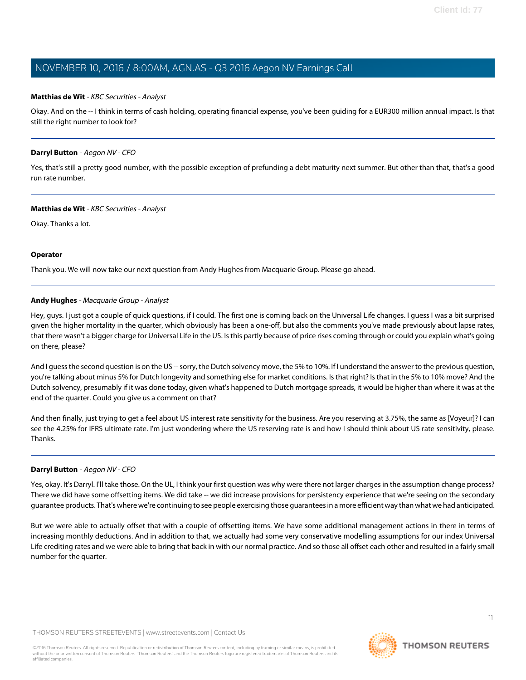### **Matthias de Wit** - KBC Securities - Analyst

Okay. And on the -- I think in terms of cash holding, operating financial expense, you've been guiding for a EUR300 million annual impact. Is that still the right number to look for?

### **Darryl Button** - Aegon NV - CFO

Yes, that's still a pretty good number, with the possible exception of prefunding a debt maturity next summer. But other than that, that's a good run rate number.

### **Matthias de Wit** - KBC Securities - Analyst

Okay. Thanks a lot.

### **Operator**

<span id="page-10-0"></span>Thank you. We will now take our next question from Andy Hughes from Macquarie Group. Please go ahead.

### **Andy Hughes** - Macquarie Group - Analyst

Hey, guys. I just got a couple of quick questions, if I could. The first one is coming back on the Universal Life changes. I guess I was a bit surprised given the higher mortality in the quarter, which obviously has been a one-off, but also the comments you've made previously about lapse rates, that there wasn't a bigger charge for Universal Life in the US. Is this partly because of price rises coming through or could you explain what's going on there, please?

And I guess the second question is on the US -- sorry, the Dutch solvency move, the 5% to 10%. If I understand the answer to the previous question, you're talking about minus 5% for Dutch longevity and something else for market conditions. Is that right? Is that in the 5% to 10% move? And the Dutch solvency, presumably if it was done today, given what's happened to Dutch mortgage spreads, it would be higher than where it was at the end of the quarter. Could you give us a comment on that?

And then finally, just trying to get a feel about US interest rate sensitivity for the business. Are you reserving at 3.75%, the same as [Voyeur]? I can see the 4.25% for IFRS ultimate rate. I'm just wondering where the US reserving rate is and how I should think about US rate sensitivity, please. Thanks.

### **Darryl Button** - Aegon NV - CFO

Yes, okay. It's Darryl. I'll take those. On the UL, I think your first question was why were there not larger charges in the assumption change process? There we did have some offsetting items. We did take -- we did increase provisions for persistency experience that we're seeing on the secondary guarantee products. That's where we're continuing to see people exercising those guarantees in a more efficient way than what we had anticipated.

But we were able to actually offset that with a couple of offsetting items. We have some additional management actions in there in terms of increasing monthly deductions. And in addition to that, we actually had some very conservative modelling assumptions for our index Universal Life crediting rates and we were able to bring that back in with our normal practice. And so those all offset each other and resulted in a fairly small number for the quarter.

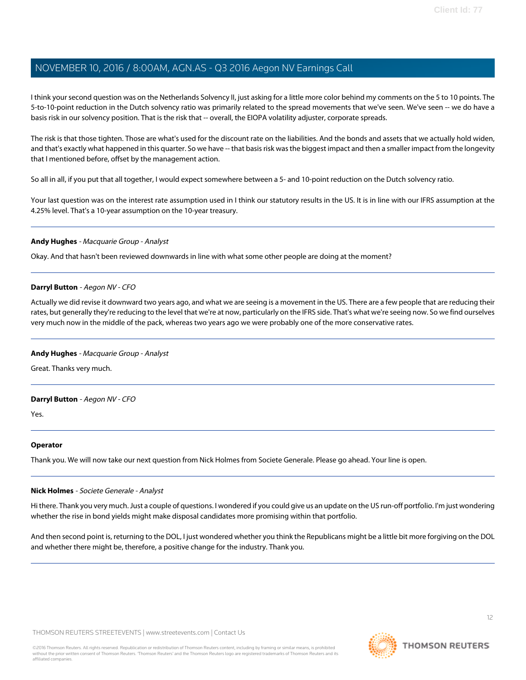I think your second question was on the Netherlands Solvency II, just asking for a little more color behind my comments on the 5 to 10 points. The 5-to-10-point reduction in the Dutch solvency ratio was primarily related to the spread movements that we've seen. We've seen -- we do have a basis risk in our solvency position. That is the risk that -- overall, the EIOPA volatility adjuster, corporate spreads.

The risk is that those tighten. Those are what's used for the discount rate on the liabilities. And the bonds and assets that we actually hold widen, and that's exactly what happened in this quarter. So we have -- that basis risk was the biggest impact and then a smaller impact from the longevity that I mentioned before, offset by the management action.

So all in all, if you put that all together, I would expect somewhere between a 5- and 10-point reduction on the Dutch solvency ratio.

Your last question was on the interest rate assumption used in I think our statutory results in the US. It is in line with our IFRS assumption at the 4.25% level. That's a 10-year assumption on the 10-year treasury.

### **Andy Hughes** - Macquarie Group - Analyst

Okay. And that hasn't been reviewed downwards in line with what some other people are doing at the moment?

### **Darryl Button** - Aegon NV - CFO

Actually we did revise it downward two years ago, and what we are seeing is a movement in the US. There are a few people that are reducing their rates, but generally they're reducing to the level that we're at now, particularly on the IFRS side. That's what we're seeing now. So we find ourselves very much now in the middle of the pack, whereas two years ago we were probably one of the more conservative rates.

### **Andy Hughes** - Macquarie Group - Analyst

Great. Thanks very much.

### **Darryl Button** - Aegon NV - CFO

Yes.

### <span id="page-11-0"></span>**Operator**

Thank you. We will now take our next question from Nick Holmes from Societe Generale. Please go ahead. Your line is open.

### **Nick Holmes** - Societe Generale - Analyst

Hi there. Thank you very much. Just a couple of questions. I wondered if you could give us an update on the US run-off portfolio. I'm just wondering whether the rise in bond yields might make disposal candidates more promising within that portfolio.

And then second point is, returning to the DOL, I just wondered whether you think the Republicans might be a little bit more forgiving on the DOL and whether there might be, therefore, a positive change for the industry. Thank you.

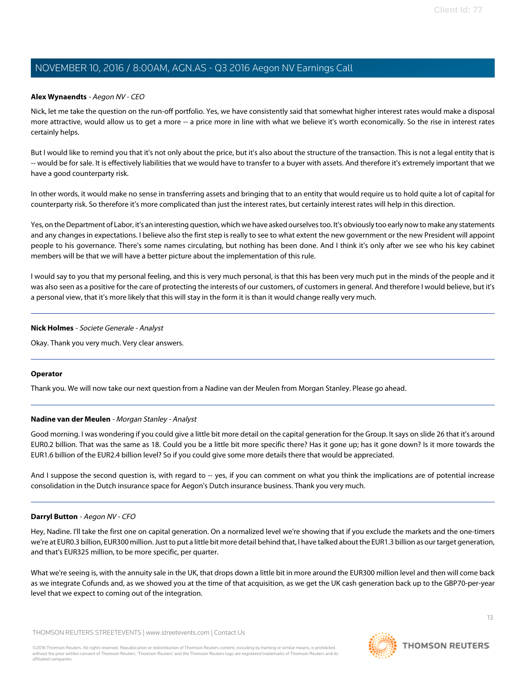### **Alex Wynaendts** - Aegon NV - CEO

Nick, let me take the question on the run-off portfolio. Yes, we have consistently said that somewhat higher interest rates would make a disposal more attractive, would allow us to get a more -- a price more in line with what we believe it's worth economically. So the rise in interest rates certainly helps.

But I would like to remind you that it's not only about the price, but it's also about the structure of the transaction. This is not a legal entity that is -- would be for sale. It is effectively liabilities that we would have to transfer to a buyer with assets. And therefore it's extremely important that we have a good counterparty risk.

In other words, it would make no sense in transferring assets and bringing that to an entity that would require us to hold quite a lot of capital for counterparty risk. So therefore it's more complicated than just the interest rates, but certainly interest rates will help in this direction.

Yes, on the Department of Labor, it's an interesting question, which we have asked ourselves too. It's obviously too early now to make any statements and any changes in expectations. I believe also the first step is really to see to what extent the new government or the new President will appoint people to his governance. There's some names circulating, but nothing has been done. And I think it's only after we see who his key cabinet members will be that we will have a better picture about the implementation of this rule.

I would say to you that my personal feeling, and this is very much personal, is that this has been very much put in the minds of the people and it was also seen as a positive for the care of protecting the interests of our customers, of customers in general. And therefore I would believe, but it's a personal view, that it's more likely that this will stay in the form it is than it would change really very much.

### **Nick Holmes** - Societe Generale - Analyst

Okay. Thank you very much. Very clear answers.

### <span id="page-12-0"></span>**Operator**

Thank you. We will now take our next question from a Nadine van der Meulen from Morgan Stanley. Please go ahead.

### **Nadine van der Meulen** - Morgan Stanley - Analyst

Good morning. I was wondering if you could give a little bit more detail on the capital generation for the Group. It says on slide 26 that it's around EUR0.2 billion. That was the same as 18. Could you be a little bit more specific there? Has it gone up; has it gone down? Is it more towards the EUR1.6 billion of the EUR2.4 billion level? So if you could give some more details there that would be appreciated.

And I suppose the second question is, with regard to -- yes, if you can comment on what you think the implications are of potential increase consolidation in the Dutch insurance space for Aegon's Dutch insurance business. Thank you very much.

### **Darryl Button** - Aegon NV - CFO

Hey, Nadine. I'll take the first one on capital generation. On a normalized level we're showing that if you exclude the markets and the one-timers we're at EUR0.3 billion, EUR300 million. Just to put a little bit more detail behind that, I have talked about the EUR1.3 billion as our target generation, and that's EUR325 million, to be more specific, per quarter.

What we're seeing is, with the annuity sale in the UK, that drops down a little bit in more around the EUR300 million level and then will come back as we integrate Cofunds and, as we showed you at the time of that acquisition, as we get the UK cash generation back up to the GBP70-per-year level that we expect to coming out of the integration.

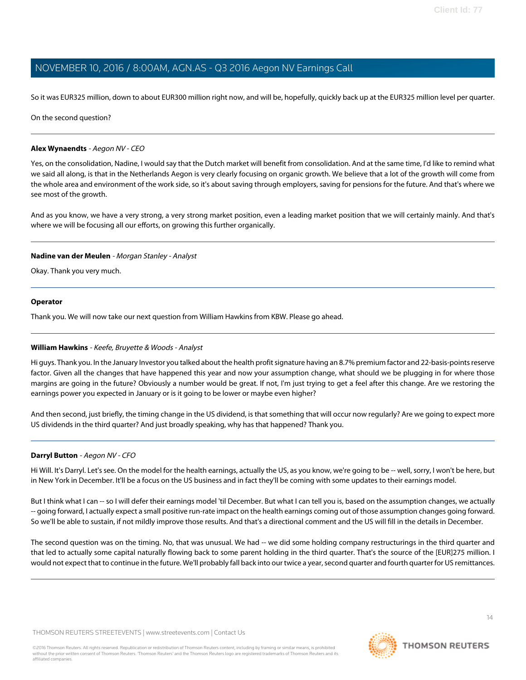So it was EUR325 million, down to about EUR300 million right now, and will be, hopefully, quickly back up at the EUR325 million level per quarter.

On the second question?

### **Alex Wynaendts** - Aegon NV - CEO

Yes, on the consolidation, Nadine, I would say that the Dutch market will benefit from consolidation. And at the same time, I'd like to remind what we said all along, is that in the Netherlands Aegon is very clearly focusing on organic growth. We believe that a lot of the growth will come from the whole area and environment of the work side, so it's about saving through employers, saving for pensions for the future. And that's where we see most of the growth.

And as you know, we have a very strong, a very strong market position, even a leading market position that we will certainly mainly. And that's where we will be focusing all our efforts, on growing this further organically.

### **Nadine van der Meulen** - Morgan Stanley - Analyst

Okay. Thank you very much.

### **Operator**

<span id="page-13-0"></span>Thank you. We will now take our next question from William Hawkins from KBW. Please go ahead.

### **William Hawkins** - Keefe, Bruyette & Woods - Analyst

Hi guys. Thank you. In the January Investor you talked about the health profit signature having an 8.7% premium factor and 22-basis-points reserve factor. Given all the changes that have happened this year and now your assumption change, what should we be plugging in for where those margins are going in the future? Obviously a number would be great. If not, I'm just trying to get a feel after this change. Are we restoring the earnings power you expected in January or is it going to be lower or maybe even higher?

And then second, just briefly, the timing change in the US dividend, is that something that will occur now regularly? Are we going to expect more US dividends in the third quarter? And just broadly speaking, why has that happened? Thank you.

### **Darryl Button** - Aegon NV - CFO

Hi Will. It's Darryl. Let's see. On the model for the health earnings, actually the US, as you know, we're going to be -- well, sorry, I won't be here, but in New York in December. It'll be a focus on the US business and in fact they'll be coming with some updates to their earnings model.

But I think what I can -- so I will defer their earnings model 'til December. But what I can tell you is, based on the assumption changes, we actually -- going forward, I actually expect a small positive run-rate impact on the health earnings coming out of those assumption changes going forward. So we'll be able to sustain, if not mildly improve those results. And that's a directional comment and the US will fill in the details in December.

The second question was on the timing. No, that was unusual. We had -- we did some holding company restructurings in the third quarter and that led to actually some capital naturally flowing back to some parent holding in the third quarter. That's the source of the [EUR]275 million. I would not expect that to continue in the future. We'll probably fall back into our twice a year, second quarter and fourth quarter for US remittances.

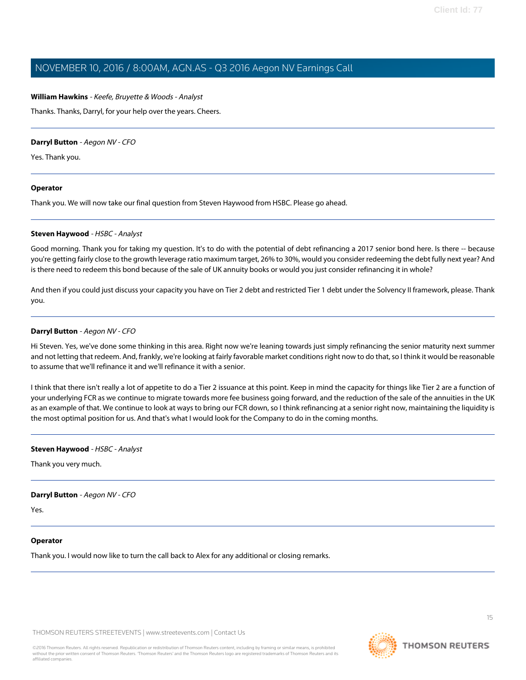### **William Hawkins** - Keefe, Bruyette & Woods - Analyst

Thanks. Thanks, Darryl, for your help over the years. Cheers.

### **Darryl Button** - Aegon NV - CFO

Yes. Thank you.

### **Operator**

<span id="page-14-0"></span>Thank you. We will now take our final question from Steven Haywood from HSBC. Please go ahead.

### **Steven Haywood** - HSBC - Analyst

Good morning. Thank you for taking my question. It's to do with the potential of debt refinancing a 2017 senior bond here. Is there -- because you're getting fairly close to the growth leverage ratio maximum target, 26% to 30%, would you consider redeeming the debt fully next year? And is there need to redeem this bond because of the sale of UK annuity books or would you just consider refinancing it in whole?

And then if you could just discuss your capacity you have on Tier 2 debt and restricted Tier 1 debt under the Solvency II framework, please. Thank you.

### **Darryl Button** - Aegon NV - CFO

Hi Steven. Yes, we've done some thinking in this area. Right now we're leaning towards just simply refinancing the senior maturity next summer and not letting that redeem. And, frankly, we're looking at fairly favorable market conditions right now to do that, so I think it would be reasonable to assume that we'll refinance it and we'll refinance it with a senior.

I think that there isn't really a lot of appetite to do a Tier 2 issuance at this point. Keep in mind the capacity for things like Tier 2 are a function of your underlying FCR as we continue to migrate towards more fee business going forward, and the reduction of the sale of the annuities in the UK as an example of that. We continue to look at ways to bring our FCR down, so I think refinancing at a senior right now, maintaining the liquidity is the most optimal position for us. And that's what I would look for the Company to do in the coming months.

### **Steven Haywood** - HSBC - Analyst

Thank you very much.

### **Darryl Button** - Aegon NV - CFO

Yes.

### **Operator**

Thank you. I would now like to turn the call back to Alex for any additional or closing remarks.